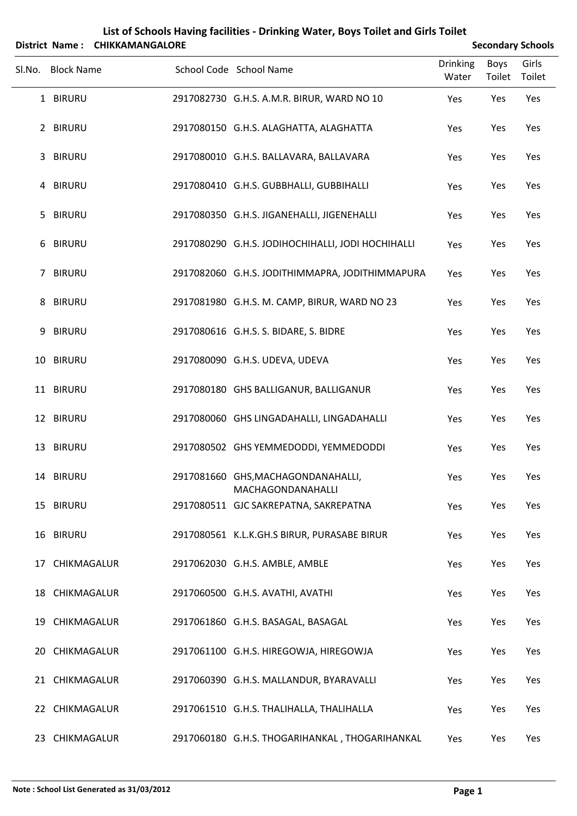|        |                   | District Name: CHIKKAMANGALORE |                                                         |                          |                | <b>Secondary Schools</b> |  |
|--------|-------------------|--------------------------------|---------------------------------------------------------|--------------------------|----------------|--------------------------|--|
| SI.No. | <b>Block Name</b> |                                | School Code School Name                                 | <b>Drinking</b><br>Water | Boys<br>Toilet | Girls<br>Toilet          |  |
|        | 1 BIRURU          |                                | 2917082730 G.H.S. A.M.R. BIRUR, WARD NO 10              | Yes                      | Yes            | Yes                      |  |
|        | 2 BIRURU          |                                | 2917080150 G.H.S. ALAGHATTA, ALAGHATTA                  | Yes                      | Yes            | Yes                      |  |
| 3      | <b>BIRURU</b>     |                                | 2917080010 G.H.S. BALLAVARA, BALLAVARA                  | Yes                      | Yes            | Yes                      |  |
|        | 4 BIRURU          |                                | 2917080410 G.H.S. GUBBHALLI, GUBBIHALLI                 | Yes                      | Yes            | Yes                      |  |
| 5.     | <b>BIRURU</b>     |                                | 2917080350 G.H.S. JIGANEHALLI, JIGENEHALLI              | Yes                      | Yes            | Yes                      |  |
|        | 6 BIRURU          |                                | 2917080290 G.H.S. JODIHOCHIHALLI, JODI HOCHIHALLI       | Yes                      | Yes            | Yes                      |  |
|        | 7 BIRURU          |                                | 2917082060 G.H.S. JODITHIMMAPRA, JODITHIMMAPURA         | Yes                      | Yes            | Yes                      |  |
|        | 8 BIRURU          |                                | 2917081980 G.H.S. M. CAMP, BIRUR, WARD NO 23            | Yes                      | Yes            | Yes                      |  |
| 9      | <b>BIRURU</b>     |                                | 2917080616 G.H.S. S. BIDARE, S. BIDRE                   | Yes                      | Yes            | Yes                      |  |
|        | 10 BIRURU         |                                | 2917080090 G.H.S. UDEVA, UDEVA                          | Yes                      | Yes            | Yes                      |  |
|        | 11 BIRURU         |                                | 2917080180 GHS BALLIGANUR, BALLIGANUR                   | Yes                      | Yes            | Yes                      |  |
|        | 12 BIRURU         |                                | 2917080060 GHS LINGADAHALLI, LINGADAHALLI               | Yes                      | Yes            | Yes                      |  |
|        | 13 BIRURU         |                                | 2917080502 GHS YEMMEDODDI, YEMMEDODDI                   | Yes                      | Yes            | Yes                      |  |
|        | 14 BIRURU         |                                | 2917081660 GHS, MACHAGONDANAHALLI,<br>MACHAGONDANAHALLI | Yes                      | Yes            | Yes                      |  |
|        | 15 BIRURU         |                                | 2917080511 GJC SAKREPATNA, SAKREPATNA                   | Yes                      | Yes            | Yes                      |  |
|        | 16 BIRURU         |                                | 2917080561 K.L.K.GH.S BIRUR, PURASABE BIRUR             | Yes                      | Yes            | Yes                      |  |
|        | 17 CHIKMAGALUR    |                                | 2917062030 G.H.S. AMBLE, AMBLE                          | Yes                      | Yes            | Yes                      |  |
|        | 18 CHIKMAGALUR    |                                | 2917060500 G.H.S. AVATHI, AVATHI                        | Yes                      | Yes            | Yes                      |  |
|        | 19 CHIKMAGALUR    |                                | 2917061860 G.H.S. BASAGAL, BASAGAL                      | Yes                      | Yes            | Yes                      |  |
|        | 20 CHIKMAGALUR    |                                | 2917061100 G.H.S. HIREGOWJA, HIREGOWJA                  | Yes                      | Yes            | Yes                      |  |
|        | 21 CHIKMAGALUR    |                                | 2917060390 G.H.S. MALLANDUR, BYARAVALLI                 | Yes                      | Yes            | Yes                      |  |
|        | 22 CHIKMAGALUR    |                                | 2917061510 G.H.S. THALIHALLA, THALIHALLA                | Yes                      | Yes            | Yes                      |  |
|        | 23 CHIKMAGALUR    |                                | 2917060180 G.H.S. THOGARIHANKAL, THOGARIHANKAL          | Yes                      | Yes            | Yes                      |  |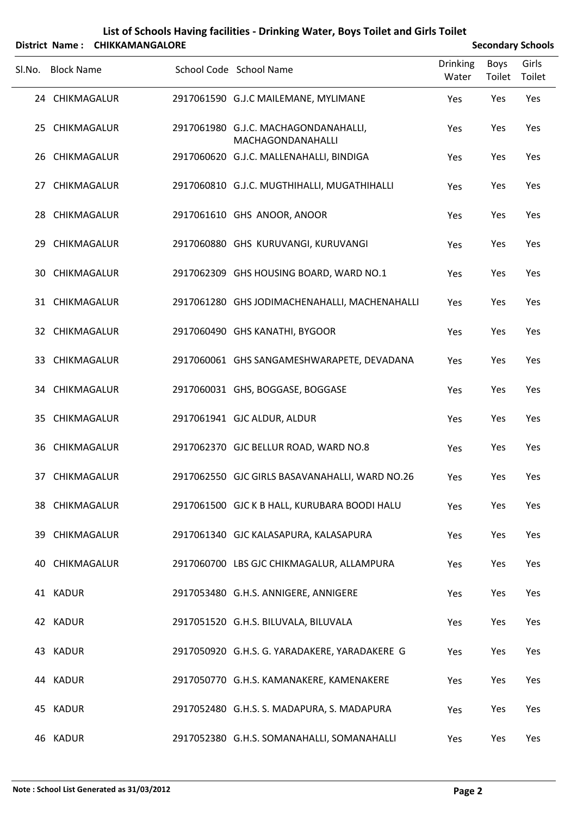|                   | District Name: CHIKKAMANGALORE |                                                           |                          |                | <b>Secondary Schools</b> |
|-------------------|--------------------------------|-----------------------------------------------------------|--------------------------|----------------|--------------------------|
| Sl.No. Block Name |                                | School Code School Name                                   | <b>Drinking</b><br>Water | Boys<br>Toilet | Girls<br>Toilet          |
| 24 CHIKMAGALUR    |                                | 2917061590 G.J.C MAILEMANE, MYLIMANE                      | Yes                      | Yes            | Yes                      |
| 25 CHIKMAGALUR    |                                | 2917061980 G.J.C. MACHAGONDANAHALLI,<br>MACHAGONDANAHALLI | Yes                      | Yes            | Yes                      |
| 26 CHIKMAGALUR    |                                | 2917060620 G.J.C. MALLENAHALLI, BINDIGA                   | Yes                      | Yes            | Yes                      |
| 27 CHIKMAGALUR    |                                | 2917060810 G.J.C. MUGTHIHALLI, MUGATHIHALLI               | Yes                      | Yes            | Yes                      |
| 28 CHIKMAGALUR    |                                | 2917061610 GHS ANOOR, ANOOR                               | Yes                      | Yes            | Yes                      |
| 29 CHIKMAGALUR    |                                | 2917060880 GHS KURUVANGI, KURUVANGI                       | Yes                      | Yes            | Yes                      |
| 30 CHIKMAGALUR    |                                | 2917062309 GHS HOUSING BOARD, WARD NO.1                   | Yes                      | Yes            | Yes                      |
| 31 CHIKMAGALUR    |                                | 2917061280 GHS JODIMACHENAHALLI, MACHENAHALLI             | Yes                      | Yes            | Yes                      |
| 32 CHIKMAGALUR    |                                | 2917060490 GHS KANATHI, BYGOOR                            | Yes                      | Yes            | Yes                      |
| 33 CHIKMAGALUR    |                                | 2917060061 GHS SANGAMESHWARAPETE, DEVADANA                | Yes                      | Yes            | Yes                      |
| 34 CHIKMAGALUR    |                                | 2917060031 GHS, BOGGASE, BOGGASE                          | Yes                      | Yes            | Yes                      |
| 35 CHIKMAGALUR    |                                | 2917061941 GJC ALDUR, ALDUR                               | Yes                      | Yes            | Yes                      |
| 36 CHIKMAGALUR    |                                | 2917062370 GJC BELLUR ROAD, WARD NO.8                     | Yes                      | Yes            | Yes                      |
| 37 CHIKMAGALUR    |                                | 2917062550 GJC GIRLS BASAVANAHALLI, WARD NO.26            | Yes                      | Yes            | Yes                      |
| 38 CHIKMAGALUR    |                                | 2917061500 GJC K B HALL, KURUBARA BOODI HALU              | Yes                      | Yes            | Yes                      |
| 39 CHIKMAGALUR    |                                | 2917061340 GJC KALASAPURA, KALASAPURA                     | Yes                      | Yes            | Yes                      |
| 40 CHIKMAGALUR    |                                | 2917060700 LBS GJC CHIKMAGALUR, ALLAMPURA                 | Yes                      | Yes            | Yes                      |
| 41 KADUR          |                                | 2917053480 G.H.S. ANNIGERE, ANNIGERE                      | Yes                      | Yes            | Yes                      |
| 42 KADUR          |                                | 2917051520 G.H.S. BILUVALA, BILUVALA                      | Yes                      | Yes            | Yes                      |
| 43 KADUR          |                                | 2917050920 G.H.S. G. YARADAKERE, YARADAKERE G             | Yes                      | Yes            | Yes                      |
| 44 KADUR          |                                | 2917050770 G.H.S. KAMANAKERE, KAMENAKERE                  | Yes                      | Yes            | Yes                      |
| 45 KADUR          |                                | 2917052480 G.H.S. S. MADAPURA, S. MADAPURA                | Yes                      | Yes            | Yes                      |
| 46 KADUR          |                                | 2917052380 G.H.S. SOMANAHALLI, SOMANAHALLI                | Yes                      | Yes            | Yes                      |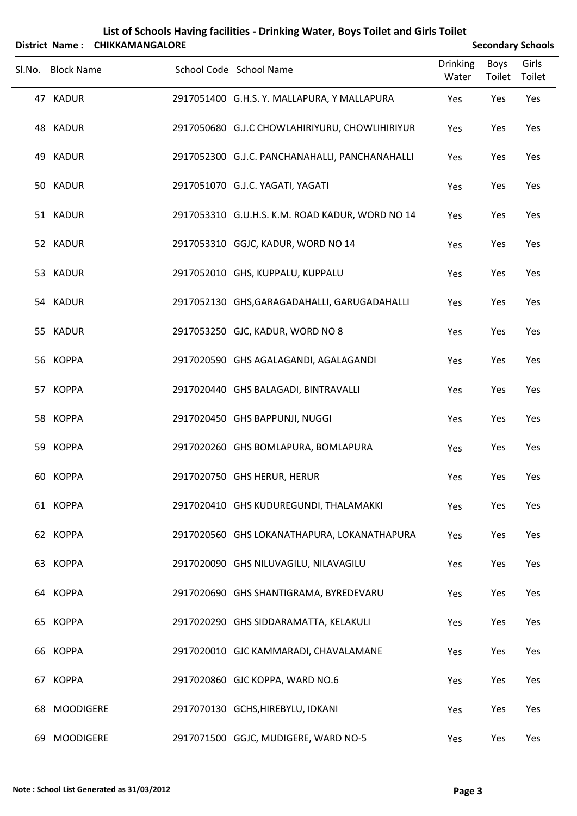|    | List of Schools Having facilities - Drinking Water, Boys Toilet and Girls Toilet |                                |                                                 |                          |                       |                          |  |
|----|----------------------------------------------------------------------------------|--------------------------------|-------------------------------------------------|--------------------------|-----------------------|--------------------------|--|
|    |                                                                                  | District Name: CHIKKAMANGALORE |                                                 |                          |                       | <b>Secondary Schools</b> |  |
|    | Sl.No. Block Name                                                                |                                | School Code School Name                         | <b>Drinking</b><br>Water | <b>Boys</b><br>Toilet | Girls<br>Toilet          |  |
|    | 47 KADUR                                                                         |                                | 2917051400 G.H.S. Y. MALLAPURA, Y MALLAPURA     | Yes                      | Yes                   | Yes                      |  |
|    | 48 KADUR                                                                         |                                | 2917050680 G.J.C CHOWLAHIRIYURU, CHOWLIHIRIYUR  | Yes                      | Yes                   | Yes                      |  |
|    | 49 KADUR                                                                         |                                | 2917052300 G.J.C. PANCHANAHALLI, PANCHANAHALLI  | Yes                      | Yes                   | Yes                      |  |
|    | 50 KADUR                                                                         |                                | 2917051070 G.J.C. YAGATI, YAGATI                | Yes                      | Yes                   | Yes                      |  |
|    | 51 KADUR                                                                         |                                | 2917053310 G.U.H.S. K.M. ROAD KADUR, WORD NO 14 | Yes                      | Yes                   | Yes                      |  |
|    | 52 KADUR                                                                         |                                | 2917053310 GGJC, KADUR, WORD NO 14              | Yes                      | Yes                   | Yes                      |  |
|    | 53 KADUR                                                                         |                                | 2917052010 GHS, KUPPALU, KUPPALU                | Yes                      | Yes                   | Yes                      |  |
|    | 54 KADUR                                                                         |                                | 2917052130 GHS, GARAGADAHALLI, GARUGADAHALLI    | Yes                      | Yes                   | Yes                      |  |
|    | 55 KADUR                                                                         |                                | 2917053250 GJC, KADUR, WORD NO 8                | Yes                      | Yes                   | Yes                      |  |
|    | 56 KOPPA                                                                         |                                | 2917020590 GHS AGALAGANDI, AGALAGANDI           | Yes                      | Yes                   | Yes                      |  |
|    | 57 KOPPA                                                                         |                                | 2917020440 GHS BALAGADI, BINTRAVALLI            | Yes                      | Yes                   | Yes                      |  |
|    | 58 KOPPA                                                                         |                                | 2917020450 GHS BAPPUNJI, NUGGI                  | Yes                      | Yes                   | Yes                      |  |
|    | 59 KOPPA                                                                         |                                | 2917020260 GHS BOMLAPURA, BOMLAPURA             | Yes                      | Yes                   | Yes                      |  |
|    | 60 KOPPA                                                                         |                                | 2917020750 GHS HERUR, HERUR                     | Yes                      | Yes                   | Yes                      |  |
|    | 61 KOPPA                                                                         |                                | 2917020410 GHS KUDUREGUNDI, THALAMAKKI          | Yes                      | Yes                   | Yes                      |  |
|    | 62 KOPPA                                                                         |                                | 2917020560 GHS LOKANATHAPURA, LOKANATHAPURA     | Yes                      | Yes                   | Yes                      |  |
|    | 63 KOPPA                                                                         |                                | 2917020090 GHS NILUVAGILU, NILAVAGILU           | Yes                      | Yes                   | Yes                      |  |
|    | 64 KOPPA                                                                         |                                | 2917020690 GHS SHANTIGRAMA, BYREDEVARU          | Yes                      | Yes                   | Yes                      |  |
|    | 65 KOPPA                                                                         |                                | 2917020290 GHS SIDDARAMATTA, KELAKULI           | Yes                      | Yes                   | Yes                      |  |
|    | 66 KOPPA                                                                         |                                | 2917020010 GJC KAMMARADI, CHAVALAMANE           | Yes                      | Yes                   | Yes                      |  |
|    | 67 KOPPA                                                                         |                                | 2917020860 GJC KOPPA, WARD NO.6                 | Yes                      | Yes                   | Yes                      |  |
| 68 | <b>MOODIGERE</b>                                                                 |                                | 2917070130 GCHS, HIREBYLU, IDKANI               | Yes                      | Yes                   | Yes                      |  |
| 69 | <b>MOODIGERE</b>                                                                 |                                | 2917071500 GGJC, MUDIGERE, WARD NO-5            | Yes                      | Yes                   | Yes                      |  |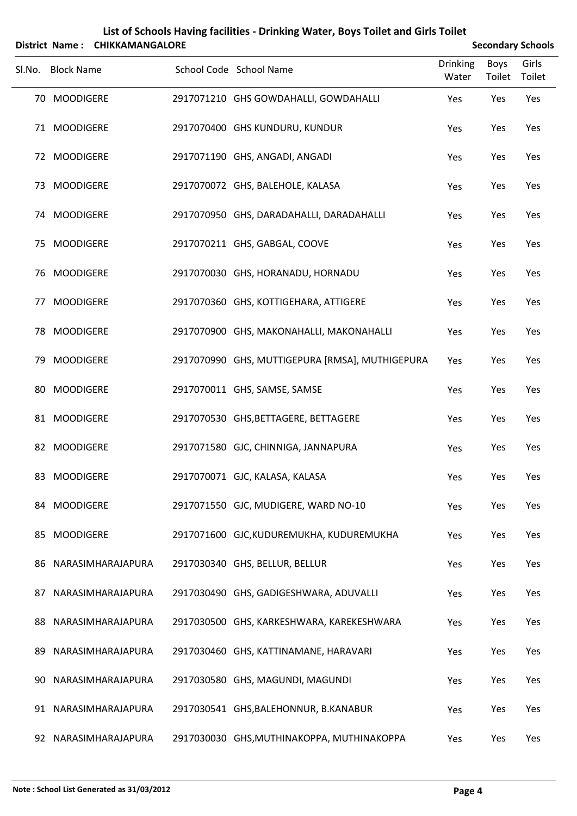|     |                   | District Name: CHIKKAMANGALORE |                                                 |                          |                       | <b>Secondary Schools</b> |
|-----|-------------------|--------------------------------|-------------------------------------------------|--------------------------|-----------------------|--------------------------|
|     | Sl.No. Block Name |                                | School Code School Name                         | <b>Drinking</b><br>Water | <b>Boys</b><br>Toilet | Girls<br>Toilet          |
|     | 70 MOODIGERE      |                                | 2917071210 GHS GOWDAHALLI, GOWDAHALLI           | Yes                      | Yes                   | Yes                      |
|     | 71 MOODIGERE      |                                | 2917070400 GHS KUNDURU, KUNDUR                  | Yes                      | Yes                   | Yes                      |
|     | 72 MOODIGERE      |                                | 2917071190 GHS, ANGADI, ANGADI                  | Yes                      | Yes                   | Yes                      |
|     | 73 MOODIGERE      |                                | 2917070072 GHS, BALEHOLE, KALASA                | Yes                      | Yes                   | Yes                      |
|     | 74 MOODIGERE      |                                | 2917070950 GHS, DARADAHALLI, DARADAHALLI        | Yes                      | Yes                   | Yes                      |
|     | 75 MOODIGERE      |                                | 2917070211 GHS, GABGAL, COOVE                   | Yes                      | Yes                   | Yes                      |
|     | 76 MOODIGERE      |                                | 2917070030 GHS, HORANADU, HORNADU               | Yes                      | Yes                   | Yes                      |
|     | 77 MOODIGERE      |                                | 2917070360 GHS, KOTTIGEHARA, ATTIGERE           | Yes                      | Yes                   | Yes                      |
|     | 78 MOODIGERE      |                                | 2917070900 GHS, MAKONAHALLI, MAKONAHALLI        | Yes                      | Yes                   | Yes                      |
|     | 79 MOODIGERE      |                                | 2917070990 GHS, MUTTIGEPURA [RMSA], MUTHIGEPURA | Yes                      | Yes                   | Yes                      |
|     | 80 MOODIGERE      |                                | 2917070011 GHS, SAMSE, SAMSE                    | Yes                      | Yes                   | Yes                      |
|     | 81 MOODIGERE      |                                | 2917070530 GHS, BETTAGERE, BETTAGERE            | Yes                      | Yes                   | Yes                      |
|     | 82 MOODIGERE      |                                | 2917071580 GJC, CHINNIGA, JANNAPURA             | Yes                      | Yes                   | Yes                      |
|     | 83 MOODIGERE      |                                | 2917070071 GJC, KALASA, KALASA                  | Yes                      | Yes                   | Yes                      |
|     | 84 MOODIGERE      |                                | 2917071550 GJC, MUDIGERE, WARD NO-10            | Yes                      | Yes                   | Yes                      |
| 85  | <b>MOODIGERE</b>  |                                | 2917071600 GJC, KUDUREMUKHA, KUDUREMUKHA        | Yes                      | Yes                   | Yes                      |
| 86  |                   | NARASIMHARAJAPURA              | 2917030340 GHS, BELLUR, BELLUR                  | Yes                      | Yes                   | Yes                      |
| 87  |                   | NARASIMHARAJAPURA              | 2917030490 GHS, GADIGESHWARA, ADUVALLI          | Yes                      | Yes                   | Yes                      |
| 88  |                   | NARASIMHARAJAPURA              | 2917030500 GHS, KARKESHWARA, KAREKESHWARA       | Yes                      | Yes                   | Yes                      |
| 89  |                   | NARASIMHARAJAPURA              | 2917030460 GHS, KATTINAMANE, HARAVARI           | Yes                      | Yes                   | Yes                      |
| 90. |                   | NARASIMHARAJAPURA              | 2917030580 GHS, MAGUNDI, MAGUNDI                | Yes                      | Yes                   | Yes                      |
|     |                   | 91 NARASIMHARAJAPURA           | 2917030541 GHS, BALEHONNUR, B.KANABUR           | Yes                      | Yes                   | Yes                      |
|     |                   | 92 NARASIMHARAJAPURA           | 2917030030 GHS, MUTHINAKOPPA, MUTHINAKOPPA      | Yes                      | Yes                   | Yes                      |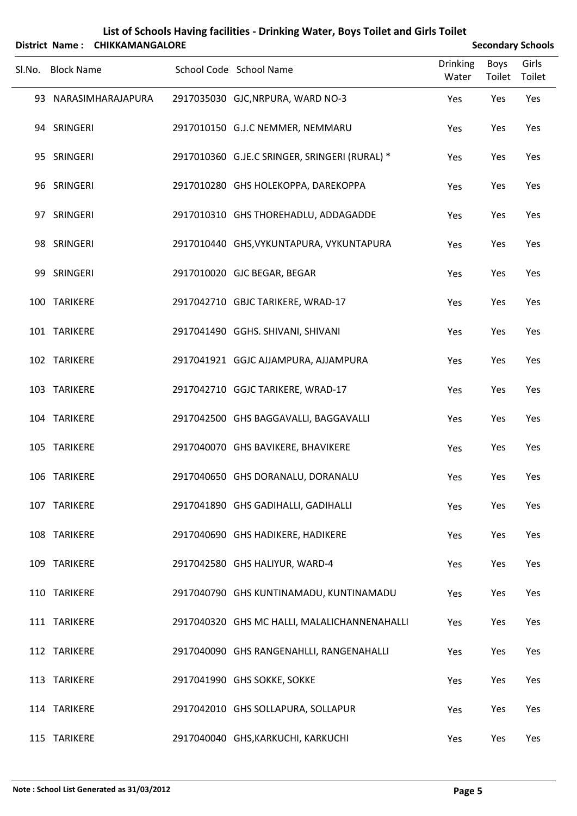|        |                   | District Name: CHIKKAMANGALORE |                                               |                          |                | <b>Secondary Schools</b> |
|--------|-------------------|--------------------------------|-----------------------------------------------|--------------------------|----------------|--------------------------|
| Sl.No. | <b>Block Name</b> |                                | School Code School Name                       | <b>Drinking</b><br>Water | Boys<br>Toilet | Girls<br>Toilet          |
|        |                   | 93 NARASIMHARAJAPURA           | 2917035030 GJC, NRPURA, WARD NO-3             | Yes                      | Yes            | Yes                      |
|        | 94 SRINGERI       |                                | 2917010150 G.J.C NEMMER, NEMMARU              | Yes                      | Yes            | Yes                      |
|        | 95 SRINGERI       |                                | 2917010360 G.JE.C SRINGER, SRINGERI (RURAL) * | Yes                      | Yes            | Yes                      |
|        | 96 SRINGERI       |                                | 2917010280 GHS HOLEKOPPA, DAREKOPPA           | Yes                      | Yes            | Yes                      |
|        | 97 SRINGERI       |                                | 2917010310 GHS THOREHADLU, ADDAGADDE          | Yes                      | Yes            | Yes                      |
|        | 98 SRINGERI       |                                | 2917010440 GHS, VYKUNTAPURA, VYKUNTAPURA      | Yes                      | Yes            | Yes                      |
|        | 99 SRINGERI       |                                | 2917010020 GJC BEGAR, BEGAR                   | Yes                      | Yes            | Yes                      |
|        | 100 TARIKERE      |                                | 2917042710 GBJC TARIKERE, WRAD-17             | Yes                      | Yes            | Yes                      |
|        | 101 TARIKERE      |                                | 2917041490 GGHS. SHIVANI, SHIVANI             | Yes                      | Yes            | Yes                      |
|        | 102 TARIKERE      |                                | 2917041921 GGJC AJJAMPURA, AJJAMPURA          | Yes                      | Yes            | Yes                      |
|        | 103 TARIKERE      |                                | 2917042710 GGJC TARIKERE, WRAD-17             | Yes                      | Yes            | Yes                      |
|        | 104 TARIKERE      |                                | 2917042500 GHS BAGGAVALLI, BAGGAVALLI         | Yes                      | Yes            | Yes                      |
|        | 105 TARIKERE      |                                | 2917040070 GHS BAVIKERE, BHAVIKERE            | Yes                      | Yes            | Yes                      |
|        | 106 TARIKERE      |                                | 2917040650 GHS DORANALU, DORANALU             | Yes                      | Yes            | Yes                      |
|        | 107 TARIKERE      |                                | 2917041890 GHS GADIHALLI, GADIHALLI           | Yes                      | Yes            | Yes                      |
|        | 108 TARIKERE      |                                | 2917040690 GHS HADIKERE, HADIKERE             | Yes                      | Yes            | Yes                      |
|        | 109 TARIKERE      |                                | 2917042580 GHS HALIYUR, WARD-4                | Yes                      | Yes            | Yes                      |
|        | 110 TARIKERE      |                                | 2917040790 GHS KUNTINAMADU, KUNTINAMADU       | Yes                      | Yes            | Yes                      |
|        | 111 TARIKERE      |                                | 2917040320 GHS MC HALLI, MALALICHANNENAHALLI  | Yes                      | Yes            | Yes                      |
|        | 112 TARIKERE      |                                | 2917040090 GHS RANGENAHLLI, RANGENAHALLI      | Yes                      | Yes            | Yes                      |
|        | 113 TARIKERE      |                                | 2917041990 GHS SOKKE, SOKKE                   | Yes                      | Yes            | Yes                      |
|        | 114 TARIKERE      |                                | 2917042010 GHS SOLLAPURA, SOLLAPUR            | Yes                      | Yes            | Yes                      |
|        | 115 TARIKERE      |                                | 2917040040 GHS, KARKUCHI, KARKUCHI            | Yes                      | Yes            | Yes                      |